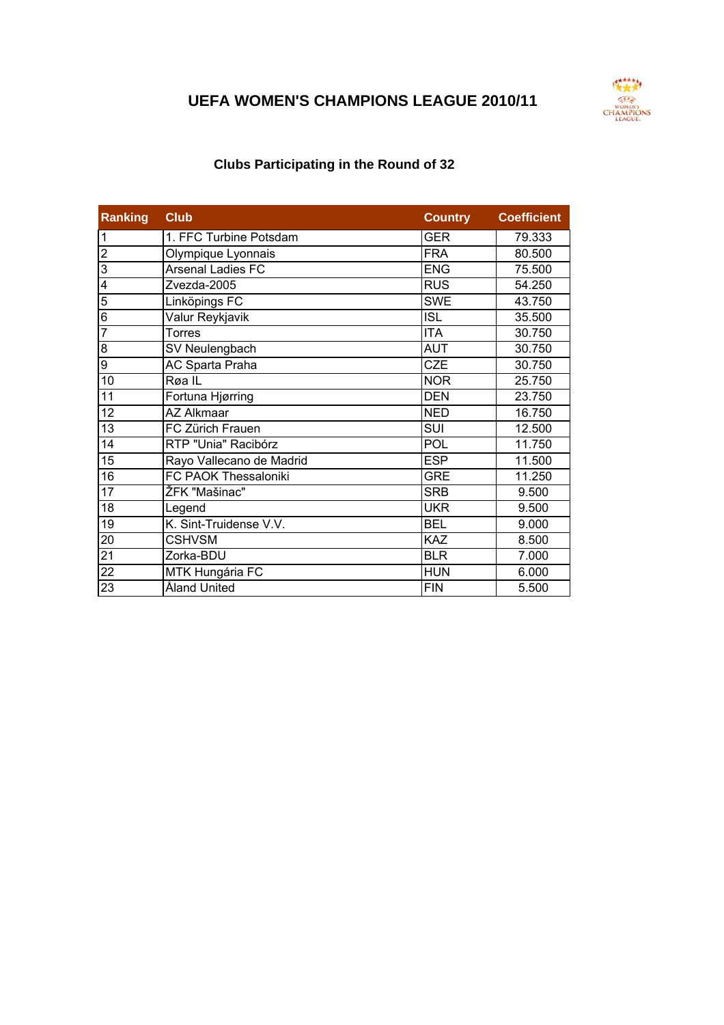## **UEFA WOMEN'S CHAMPIONS LEAGUE 2010/11**



## **Clubs Participating in the Round of 32**

| Ranking         | <b>Club</b>                 | <b>Country</b> | <b>Coefficient</b> |
|-----------------|-----------------------------|----------------|--------------------|
| $\overline{1}$  | 1. FFC Turbine Potsdam      | <b>GER</b>     | 79.333             |
| <u>ر</u>        | Olympique Lyonnais          | <b>FRA</b>     | 80.500             |
| ا دی            | <b>Arsenal Ladies FC</b>    | <b>ENG</b>     | 75.500             |
| $\overline{4}$  | Zvezda-2005                 | <b>RUS</b>     | 54.250             |
| $\overline{5}$  | Linköpings FC               | <b>SWE</b>     | 43.750             |
| $\overline{6}$  | Valur Reykjavik             | <b>ISL</b>     | 35.500             |
| $\overline{7}$  | Torres                      | <b>ITA</b>     | 30.750             |
| 8               | SV Neulengbach              | <b>AUT</b>     | 30.750             |
| $\overline{9}$  | AC Sparta Praha             | <b>CZE</b>     | 30.750             |
| 10              | Røa IL                      | <b>NOR</b>     | 25.750             |
| 11              | Fortuna Hjørring            | <b>DEN</b>     | 23.750             |
| 12              | <b>AZ Alkmaar</b>           | <b>NED</b>     | 16.750             |
| 13              | FC Zürich Frauen            | SUI            | 12.500             |
| $\overline{14}$ | RTP "Unia" Racibórz         | POL            | 11.750             |
| 15              | Rayo Vallecano de Madrid    | <b>ESP</b>     | 11.500             |
| 16              | <b>FC PAOK Thessaloniki</b> | <b>GRE</b>     | 11.250             |
| 17              | ŽFK "Mašinac"               | <b>SRB</b>     | 9.500              |
| 18              | Legend                      | <b>UKR</b>     | 9.500              |
| 19              | K. Sint-Truidense V.V.      | <b>BEL</b>     | 9.000              |
| 20              | <b>CSHVSM</b>               | KAZ            | 8.500              |
| $\frac{21}{22}$ | Zorka-BDU                   | <b>BLR</b>     | 7.000              |
|                 | MTK Hungária FC             | <b>HUN</b>     | 6.000              |
| 23              | Åland United                | <b>FIN</b>     | 5.500              |